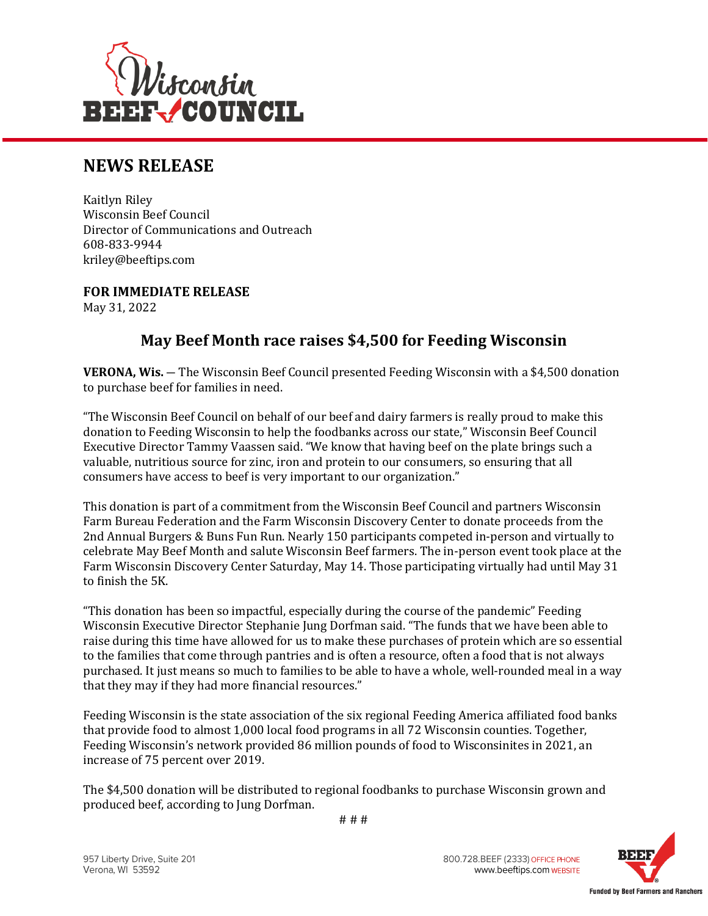

## **NEWS RELEASE**

Kaitlyn Riley Wisconsin Beef Council Director of Communications and Outreach 608-833-9944 kriley@beeftips.com

**FOR IMMEDIATE RELEASE** May 31, 2022

## **May Beef Month race raises \$4,500 for Feeding Wisconsin**

**VERONA, Wis.** ― The Wisconsin Beef Council presented Feeding Wisconsin with a \$4,500 donation to purchase beef for families in need.

"The Wisconsin Beef Council on behalf of our beef and dairy farmers is really proud to make this donation to Feeding Wisconsin to help the foodbanks across our state," Wisconsin Beef Council Executive Director Tammy Vaassen said. "We know that having beef on the plate brings such a valuable, nutritious source for zinc, iron and protein to our consumers, so ensuring that all consumers have access to beef is very important to our organization."

This donation is part of a commitment from the Wisconsin Beef Council and partners Wisconsin Farm Bureau Federation and the Farm Wisconsin Discovery Center to donate proceeds from the 2nd Annual Burgers & Buns Fun Run. Nearly 150 participants competed in-person and virtually to celebrate May Beef Month and salute Wisconsin Beef farmers. The in-person event took place at the Farm Wisconsin Discovery Center Saturday, May 14. Those participating virtually had until May 31 to finish the 5K.

"This donation has been so impactful, especially during the course of the pandemic" Feeding Wisconsin Executive Director Stephanie Jung Dorfman said. "The funds that we have been able to raise during this time have allowed for us to make these purchases of protein which are so essential to the families that come through pantries and is often a resource, often a food that is not always purchased. It just means so much to families to be able to have a whole, well-rounded meal in a way that they may if they had more financial resources."

Feeding Wisconsin is the state association of the six regional Feeding America affiliated food banks that provide food to almost 1,000 local food programs in all 72 Wisconsin counties. Together, Feeding Wisconsin's network provided 86 million pounds of food to Wisconsinites in 2021, an increase of 75 percent over 2019.

The \$4,500 donation will be distributed to regional foodbanks to purchase Wisconsin grown and produced beef, according to Jung Dorfman.



800.728.BEEF (2333) OFFICE PHONE www.beeftips.com WEBSITE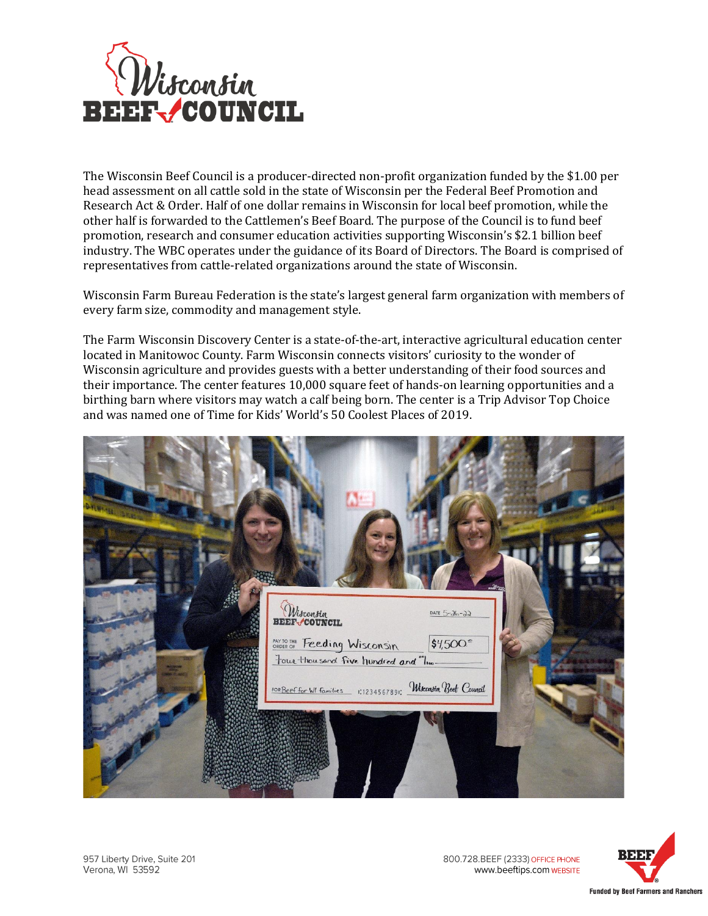

The Wisconsin Beef Council is a producer-directed non-profit organization funded by the \$1.00 per head assessment on all cattle sold in the state of Wisconsin per the Federal Beef Promotion and Research Act & Order. Half of one dollar remains in Wisconsin for local beef promotion, while the other half is forwarded to the Cattlemen's Beef Board. The purpose of the Council is to fund beef promotion, research and consumer education activities supporting Wisconsin's \$2.1 billion beef industry. The WBC operates under the guidance of its Board of Directors. The Board is comprised of representatives from cattle-related organizations around the state of Wisconsin.

Wisconsin Farm Bureau Federation is the state's largest general farm organization with members of every farm size, commodity and management style.

The Farm Wisconsin Discovery Center is a state-of-the-art, interactive agricultural education center located in Manitowoc County. Farm Wisconsin connects visitors' curiosity to the wonder of Wisconsin agriculture and provides guests with a better understanding of their food sources and their importance. The center features 10,000 square feet of hands-on learning opportunities and a birthing barn where visitors may watch a calf being born. The center is a Trip Advisor Top Choice and was named one of Time for Kids' World's 50 Coolest Places of 2019.